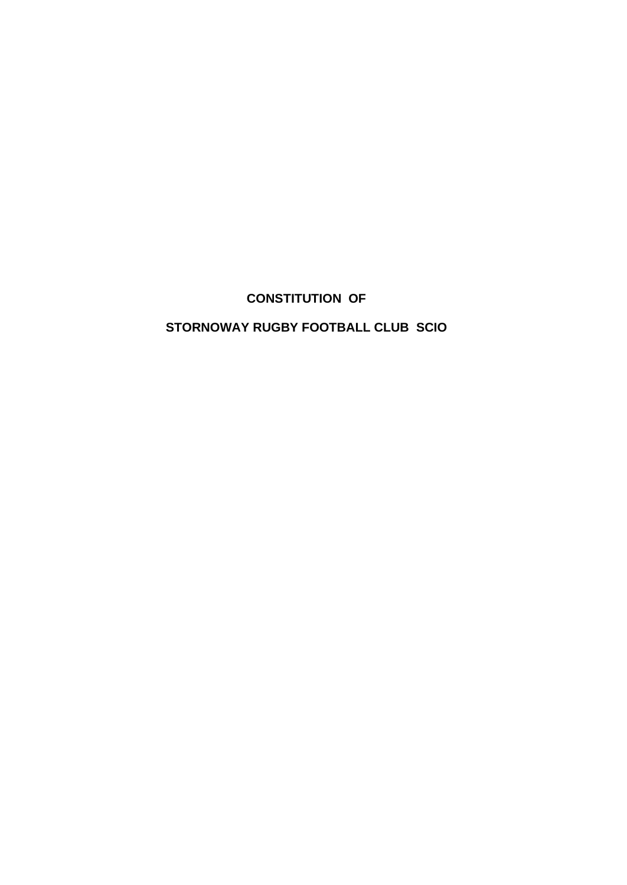# **CONSTITUTION OF**

# **STORNOWAY RUGBY FOOTBALL CLUB SCIO**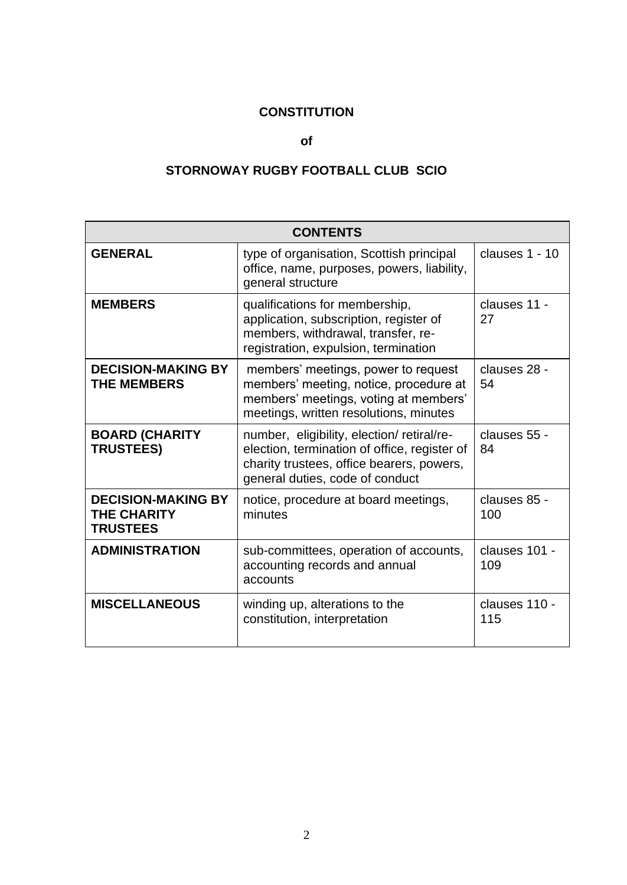# **CONSTITUTION**

#### **of**

# **STORNOWAY RUGBY FOOTBALL CLUB SCIO**

| <b>CONTENTS</b>                                                    |                                                                                                                                                                           |                      |
|--------------------------------------------------------------------|---------------------------------------------------------------------------------------------------------------------------------------------------------------------------|----------------------|
| <b>GENERAL</b>                                                     | type of organisation, Scottish principal<br>office, name, purposes, powers, liability,<br>general structure                                                               | clauses 1 - 10       |
| <b>MEMBERS</b>                                                     | qualifications for membership,<br>application, subscription, register of<br>members, withdrawal, transfer, re-<br>registration, expulsion, termination                    | clauses 11 -<br>27   |
| <b>DECISION-MAKING BY</b><br><b>THE MEMBERS</b>                    | members' meetings, power to request<br>members' meeting, notice, procedure at<br>members' meetings, voting at members'<br>meetings, written resolutions, minutes          | clauses 28 -<br>54   |
| <b>BOARD (CHARITY</b><br><b>TRUSTEES)</b>                          | number, eligibility, election/retiral/re-<br>election, termination of office, register of<br>charity trustees, office bearers, powers,<br>general duties, code of conduct | clauses 55 -<br>84   |
| <b>DECISION-MAKING BY</b><br><b>THE CHARITY</b><br><b>TRUSTEES</b> | notice, procedure at board meetings,<br>minutes                                                                                                                           | clauses 85 -<br>100  |
| <b>ADMINISTRATION</b>                                              | sub-committees, operation of accounts,<br>accounting records and annual<br>accounts                                                                                       | clauses 101 -<br>109 |
| <b>MISCELLANEOUS</b>                                               | winding up, alterations to the<br>constitution, interpretation                                                                                                            | clauses 110 -<br>115 |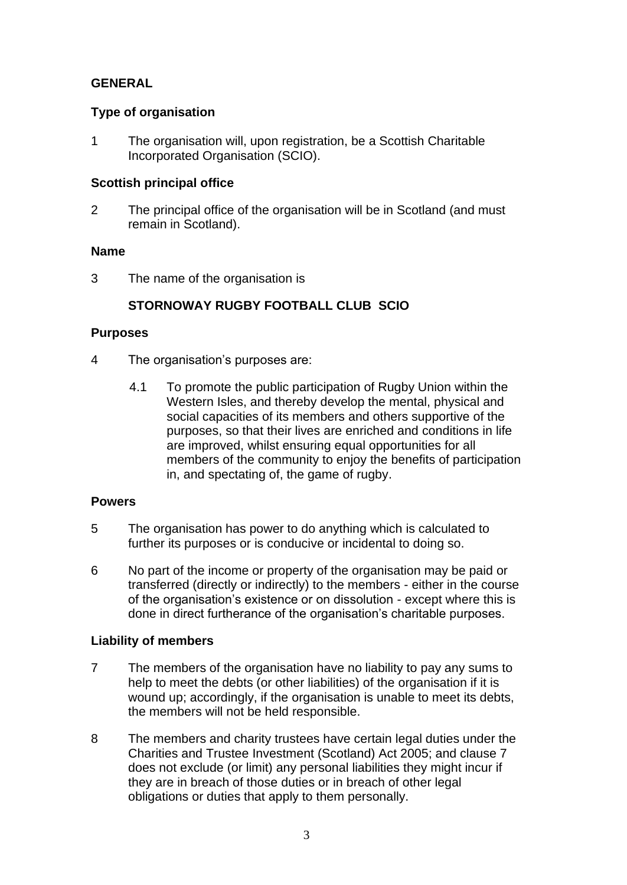## **GENERAL**

#### **Type of organisation**

1 The organisation will, upon registration, be a Scottish Charitable Incorporated Organisation (SCIO).

## **Scottish principal office**

2 The principal office of the organisation will be in Scotland (and must remain in Scotland).

#### **Name**

3 The name of the organisation is

# **STORNOWAY RUGBY FOOTBALL CLUB SCIO**

#### **Purposes**

- 4 The organisation's purposes are:
	- 4.1 To promote the public participation of Rugby Union within the Western Isles, and thereby develop the mental, physical and social capacities of its members and others supportive of the purposes, so that their lives are enriched and conditions in life are improved, whilst ensuring equal opportunities for all members of the community to enjoy the benefits of participation in, and spectating of, the game of rugby.

### **Powers**

- 5 The organisation has power to do anything which is calculated to further its purposes or is conducive or incidental to doing so.
- 6 No part of the income or property of the organisation may be paid or transferred (directly or indirectly) to the members - either in the course of the organisation's existence or on dissolution - except where this is done in direct furtherance of the organisation's charitable purposes.

#### **Liability of members**

- 7 The members of the organisation have no liability to pay any sums to help to meet the debts (or other liabilities) of the organisation if it is wound up; accordingly, if the organisation is unable to meet its debts, the members will not be held responsible.
- 8 The members and charity trustees have certain legal duties under the Charities and Trustee Investment (Scotland) Act 2005; and clause 7 does not exclude (or limit) any personal liabilities they might incur if they are in breach of those duties or in breach of other legal obligations or duties that apply to them personally.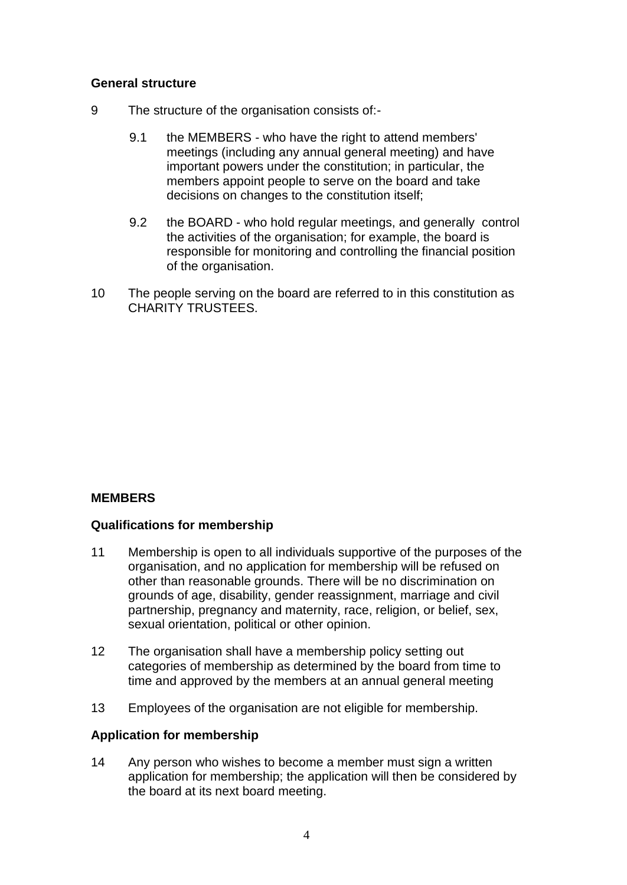#### **General structure**

- 9 The structure of the organisation consists of:-
	- 9.1 the MEMBERS who have the right to attend members' meetings (including any annual general meeting) and have important powers under the constitution; in particular, the members appoint people to serve on the board and take decisions on changes to the constitution itself;
	- 9.2 the BOARD who hold regular meetings, and generally control the activities of the organisation; for example, the board is responsible for monitoring and controlling the financial position of the organisation.
- 10 The people serving on the board are referred to in this constitution as CHARITY TRUSTEES.

# **MEMBERS**

#### **Qualifications for membership**

- 11 Membership is open to all individuals supportive of the purposes of the organisation, and no application for membership will be refused on other than reasonable grounds. There will be no discrimination on grounds of age, disability, gender reassignment, marriage and civil partnership, pregnancy and maternity, race, religion, or belief, sex, sexual orientation, political or other opinion.
- 12 The organisation shall have a membership policy setting out categories of membership as determined by the board from time to time and approved by the members at an annual general meeting
- 13 Employees of the organisation are not eligible for membership.

#### **Application for membership**

14 Any person who wishes to become a member must sign a written application for membership; the application will then be considered by the board at its next board meeting.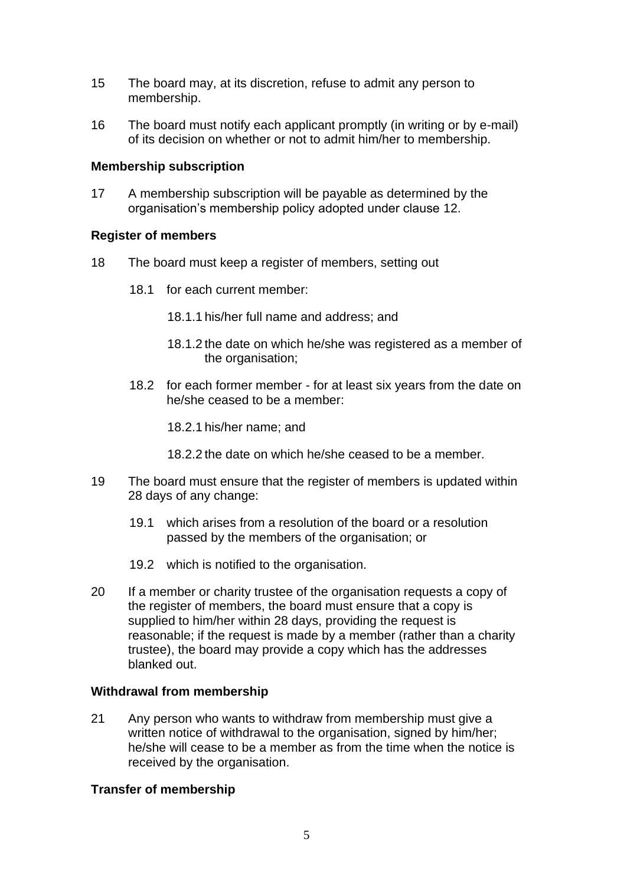- 15 The board may, at its discretion, refuse to admit any person to membership.
- 16 The board must notify each applicant promptly (in writing or by e-mail) of its decision on whether or not to admit him/her to membership.

#### **Membership subscription**

17 A membership subscription will be payable as determined by the organisation's membership policy adopted under clause 12.

## **Register of members**

- 18 The board must keep a register of members, setting out
	- 18.1 for each current member:
		- 18.1.1 his/her full name and address; and
		- 18.1.2 the date on which he/she was registered as a member of the organisation;
	- 18.2 for each former member for at least six years from the date on he/she ceased to be a member:
		- 18.2.1 his/her name; and
		- 18.2.2 the date on which he/she ceased to be a member.
- 19 The board must ensure that the register of members is updated within 28 days of any change:
	- 19.1 which arises from a resolution of the board or a resolution passed by the members of the organisation; or
	- 19.2 which is notified to the organisation.
- 20 If a member or charity trustee of the organisation requests a copy of the register of members, the board must ensure that a copy is supplied to him/her within 28 days, providing the request is reasonable; if the request is made by a member (rather than a charity trustee), the board may provide a copy which has the addresses blanked out.

# **Withdrawal from membership**

21 Any person who wants to withdraw from membership must give a written notice of withdrawal to the organisation, signed by him/her; he/she will cease to be a member as from the time when the notice is received by the organisation.

# **Transfer of membership**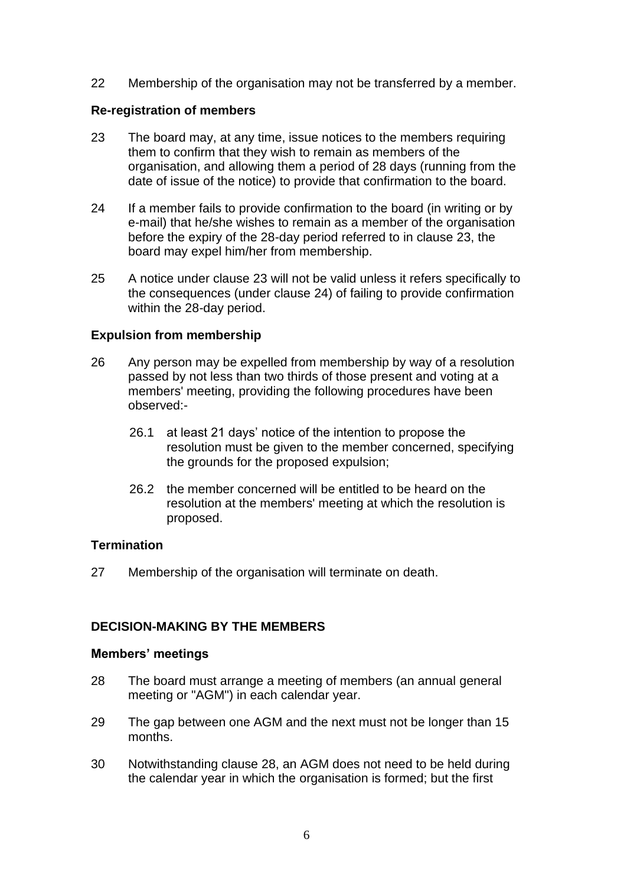22 Membership of the organisation may not be transferred by a member.

## **Re-registration of members**

- 23 The board may, at any time, issue notices to the members requiring them to confirm that they wish to remain as members of the organisation, and allowing them a period of 28 days (running from the date of issue of the notice) to provide that confirmation to the board.
- 24 If a member fails to provide confirmation to the board (in writing or by e-mail) that he/she wishes to remain as a member of the organisation before the expiry of the 28-day period referred to in clause 23, the board may expel him/her from membership.
- 25 A notice under clause 23 will not be valid unless it refers specifically to the consequences (under clause 24) of failing to provide confirmation within the 28-day period.

## **Expulsion from membership**

- 26 Any person may be expelled from membership by way of a resolution passed by not less than two thirds of those present and voting at a members' meeting, providing the following procedures have been observed:-
	- 26.1 at least 21 days' notice of the intention to propose the resolution must be given to the member concerned, specifying the grounds for the proposed expulsion;
	- 26.2 the member concerned will be entitled to be heard on the resolution at the members' meeting at which the resolution is proposed.

#### **Termination**

27 Membership of the organisation will terminate on death.

# **DECISION-MAKING BY THE MEMBERS**

#### **Members' meetings**

- 28 The board must arrange a meeting of members (an annual general meeting or "AGM") in each calendar year.
- 29 The gap between one AGM and the next must not be longer than 15 months.
- 30 Notwithstanding clause 28, an AGM does not need to be held during the calendar year in which the organisation is formed; but the first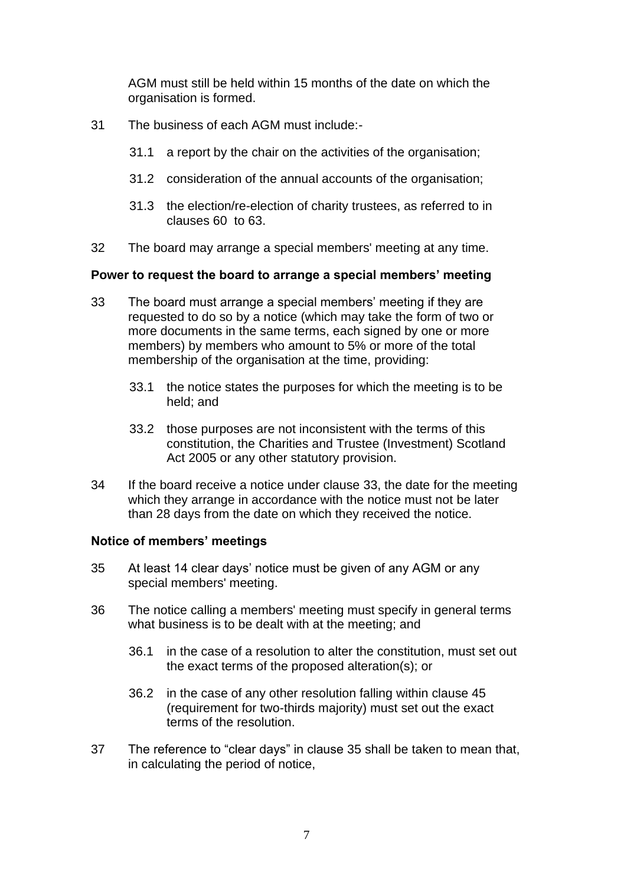AGM must still be held within 15 months of the date on which the organisation is formed.

- 31 The business of each AGM must include:-
	- 31.1 a report by the chair on the activities of the organisation;
	- 31.2 consideration of the annual accounts of the organisation;
	- 31.3 the election/re-election of charity trustees, as referred to in clauses 60 to 63.
- 32 The board may arrange a special members' meeting at any time.

## **Power to request the board to arrange a special members' meeting**

- 33 The board must arrange a special members' meeting if they are requested to do so by a notice (which may take the form of two or more documents in the same terms, each signed by one or more members) by members who amount to 5% or more of the total membership of the organisation at the time, providing:
	- 33.1 the notice states the purposes for which the meeting is to be held; and
	- 33.2 those purposes are not inconsistent with the terms of this constitution, the Charities and Trustee (Investment) Scotland Act 2005 or any other statutory provision.
- 34 If the board receive a notice under clause 33, the date for the meeting which they arrange in accordance with the notice must not be later than 28 days from the date on which they received the notice.

#### **Notice of members' meetings**

- 35 At least 14 clear days' notice must be given of any AGM or any special members' meeting.
- 36 The notice calling a members' meeting must specify in general terms what business is to be dealt with at the meeting; and
	- 36.1 in the case of a resolution to alter the constitution, must set out the exact terms of the proposed alteration(s); or
	- 36.2 in the case of any other resolution falling within clause 45 (requirement for two-thirds majority) must set out the exact terms of the resolution.
- 37 The reference to "clear days" in clause 35 shall be taken to mean that, in calculating the period of notice,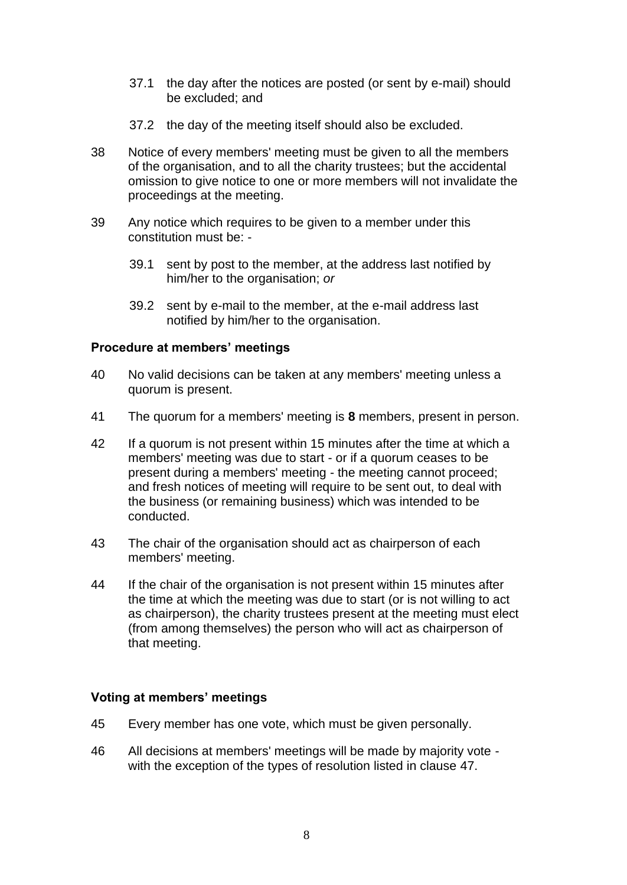- 37.1 the day after the notices are posted (or sent by e-mail) should be excluded; and
- 37.2 the day of the meeting itself should also be excluded.
- 38 Notice of every members' meeting must be given to all the members of the organisation, and to all the charity trustees; but the accidental omission to give notice to one or more members will not invalidate the proceedings at the meeting.
- 39 Any notice which requires to be given to a member under this constitution must be: -
	- 39.1 sent by post to the member, at the address last notified by him/her to the organisation; *or*
	- 39.2 sent by e-mail to the member, at the e-mail address last notified by him/her to the organisation.

#### **Procedure at members' meetings**

- 40 No valid decisions can be taken at any members' meeting unless a quorum is present.
- 41 The quorum for a members' meeting is **8** members, present in person.
- 42 If a quorum is not present within 15 minutes after the time at which a members' meeting was due to start - or if a quorum ceases to be present during a members' meeting - the meeting cannot proceed; and fresh notices of meeting will require to be sent out, to deal with the business (or remaining business) which was intended to be conducted.
- 43 The chair of the organisation should act as chairperson of each members' meeting.
- 44 If the chair of the organisation is not present within 15 minutes after the time at which the meeting was due to start (or is not willing to act as chairperson), the charity trustees present at the meeting must elect (from among themselves) the person who will act as chairperson of that meeting.

#### **Voting at members' meetings**

- 45 Every member has one vote, which must be given personally.
- 46 All decisions at members' meetings will be made by majority vote with the exception of the types of resolution listed in clause 47.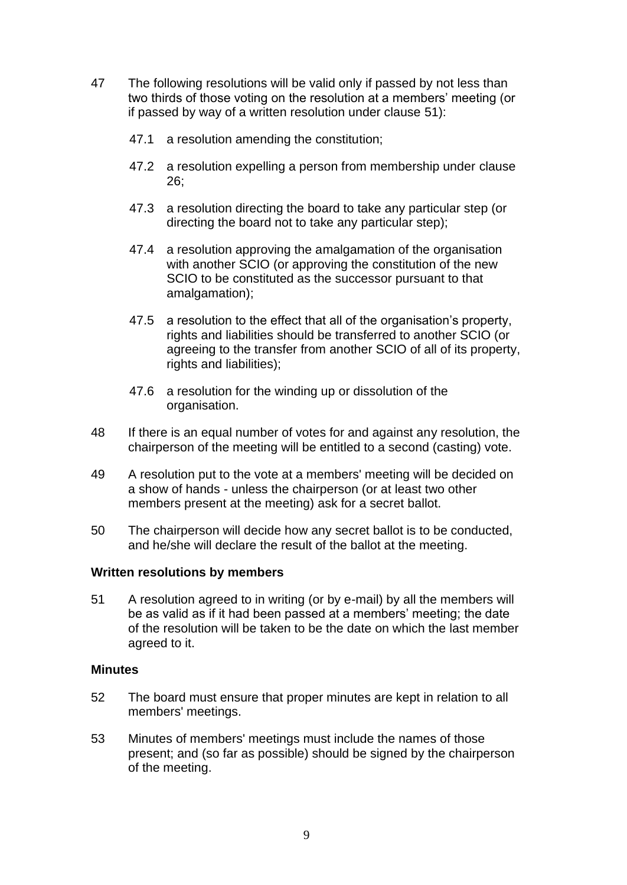- 47 The following resolutions will be valid only if passed by not less than two thirds of those voting on the resolution at a members' meeting (or if passed by way of a written resolution under clause 51):
	- 47.1 a resolution amending the constitution;
	- 47.2 a resolution expelling a person from membership under clause 26;
	- 47.3 a resolution directing the board to take any particular step (or directing the board not to take any particular step);
	- 47.4 a resolution approving the amalgamation of the organisation with another SCIO (or approving the constitution of the new SCIO to be constituted as the successor pursuant to that amalgamation);
	- 47.5 a resolution to the effect that all of the organisation's property, rights and liabilities should be transferred to another SCIO (or agreeing to the transfer from another SCIO of all of its property, rights and liabilities);
	- 47.6 a resolution for the winding up or dissolution of the organisation.
- 48 If there is an equal number of votes for and against any resolution, the chairperson of the meeting will be entitled to a second (casting) vote.
- 49 A resolution put to the vote at a members' meeting will be decided on a show of hands - unless the chairperson (or at least two other members present at the meeting) ask for a secret ballot.
- 50 The chairperson will decide how any secret ballot is to be conducted, and he/she will declare the result of the ballot at the meeting.

#### **Written resolutions by members**

51 A resolution agreed to in writing (or by e-mail) by all the members will be as valid as if it had been passed at a members' meeting; the date of the resolution will be taken to be the date on which the last member agreed to it.

#### **Minutes**

- 52 The board must ensure that proper minutes are kept in relation to all members' meetings.
- 53 Minutes of members' meetings must include the names of those present; and (so far as possible) should be signed by the chairperson of the meeting.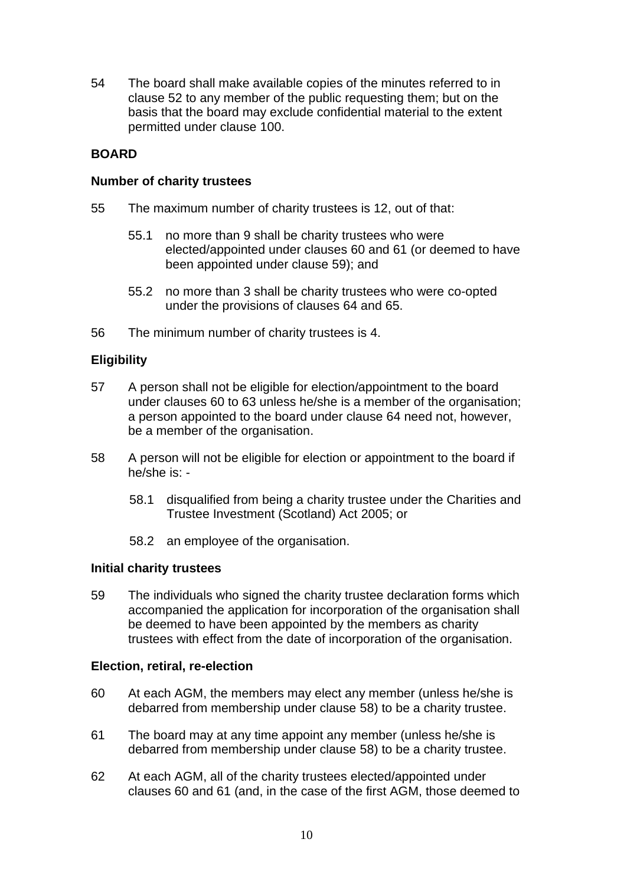54 The board shall make available copies of the minutes referred to in clause 52 to any member of the public requesting them; but on the basis that the board may exclude confidential material to the extent permitted under clause 100.

## **BOARD**

#### **Number of charity trustees**

- 55 The maximum number of charity trustees is 12, out of that:
	- 55.1 no more than 9 shall be charity trustees who were elected/appointed under clauses 60 and 61 (or deemed to have been appointed under clause 59); and
	- 55.2 no more than 3 shall be charity trustees who were co-opted under the provisions of clauses [64](#page-10-0) and [65.](#page-10-1)
- 56 The minimum number of charity trustees is 4.

## **Eligibility**

- 57 A person shall not be eligible for election/appointment to the board under clauses 60 to 63 unless he/she is a member of the organisation; a person appointed to the board under clause [64](#page-10-0) need not, however, be a member of the organisation.
- 58 A person will not be eligible for election or appointment to the board if he/she is: -
	- 58.1 disqualified from being a charity trustee under the Charities and Trustee Investment (Scotland) Act 2005; or
	- 58.2 an employee of the organisation.

#### **Initial charity trustees**

59 The individuals who signed the charity trustee declaration forms which accompanied the application for incorporation of the organisation shall be deemed to have been appointed by the members as charity trustees with effect from the date of incorporation of the organisation.

#### **Election, retiral, re-election**

- 60 At each AGM, the members may elect any member (unless he/she is debarred from membership under clause 58) to be a charity trustee.
- 61 The board may at any time appoint any member (unless he/she is debarred from membership under clause 58) to be a charity trustee.
- 62 At each AGM, all of the charity trustees elected/appointed under clauses 60 and 61 (and, in the case of the first AGM, those deemed to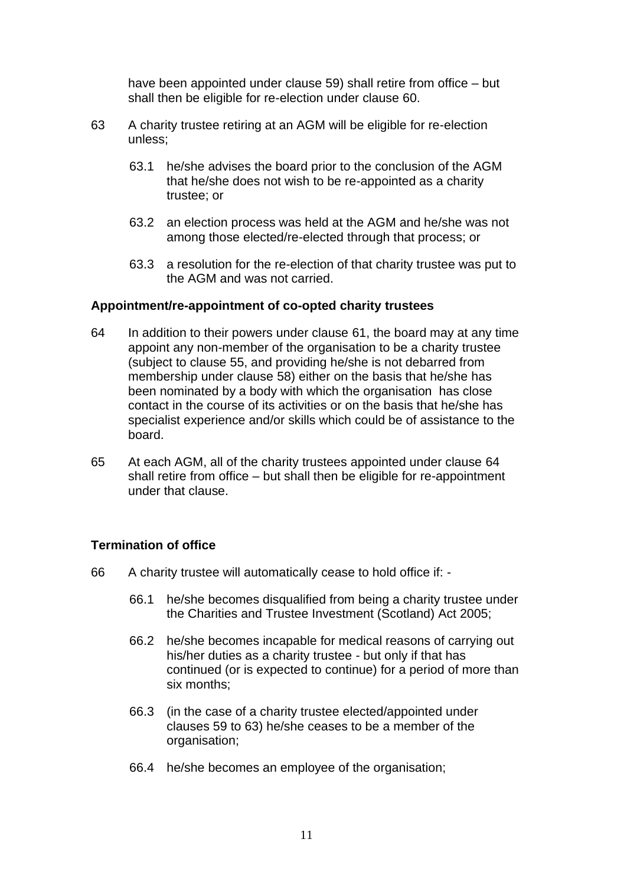have been appointed under clause 59) shall retire from office – but shall then be eligible for re-election under clause 60.

- 63 A charity trustee retiring at an AGM will be eligible for re-election unless;
	- 63.1 he/she advises the board prior to the conclusion of the AGM that he/she does not wish to be re-appointed as a charity trustee; or
	- 63.2 an election process was held at the AGM and he/she was not among those elected/re-elected through that process; or
	- 63.3 a resolution for the re-election of that charity trustee was put to the AGM and was not carried.

#### **Appointment/re-appointment of co-opted charity trustees**

- <span id="page-10-0"></span>64 In addition to their powers under clause 61, the board may at any time appoint any non-member of the organisation to be a charity trustee (subject to clause 55, and providing he/she is not debarred from membership under clause 58) either on the basis that he/she has been nominated by a body with which the organisation has close contact in the course of its activities or on the basis that he/she has specialist experience and/or skills which could be of assistance to the board.
- <span id="page-10-1"></span>65 At each AGM, all of the charity trustees appointed under clause [64](#page-10-0) shall retire from office – but shall then be eligible for re-appointment under that clause.

#### **Termination of office**

- 66 A charity trustee will automatically cease to hold office if:
	- 66.1 he/she becomes disqualified from being a charity trustee under the Charities and Trustee Investment (Scotland) Act 2005;
	- 66.2 he/she becomes incapable for medical reasons of carrying out his/her duties as a charity trustee - but only if that has continued (or is expected to continue) for a period of more than six months;
	- 66.3 (in the case of a charity trustee elected/appointed under clauses 59 to 63) he/she ceases to be a member of the organisation;
	- 66.4 he/she becomes an employee of the organisation;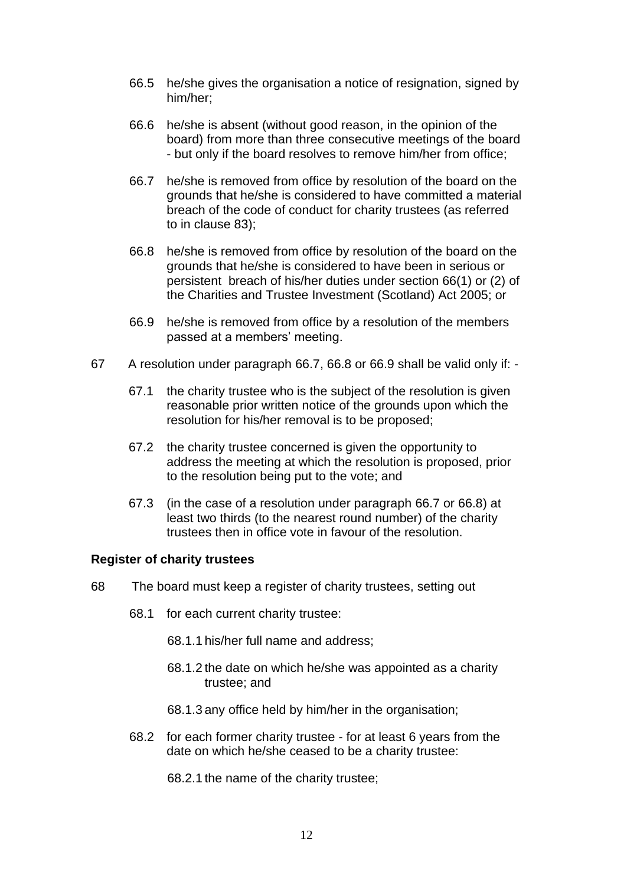- 66.5 he/she gives the organisation a notice of resignation, signed by him/her;
- 66.6 he/she is absent (without good reason, in the opinion of the board) from more than three consecutive meetings of the board - but only if the board resolves to remove him/her from office;
- 66.7 he/she is removed from office by resolution of the board on the grounds that he/she is considered to have committed a material breach of the code of conduct for charity trustees (as referred to in clause 83);
- 66.8 he/she is removed from office by resolution of the board on the grounds that he/she is considered to have been in serious or persistent breach of his/her duties under section 66(1) or (2) of the Charities and Trustee Investment (Scotland) Act 2005; or
- 66.9 he/she is removed from office by a resolution of the members passed at a members' meeting.
- 67 A resolution under paragraph 66.7, 66.8 or 66.9 shall be valid only if:
	- 67.1 the charity trustee who is the subject of the resolution is given reasonable prior written notice of the grounds upon which the resolution for his/her removal is to be proposed;
	- 67.2 the charity trustee concerned is given the opportunity to address the meeting at which the resolution is proposed, prior to the resolution being put to the vote; and
	- 67.3 (in the case of a resolution under paragraph 66.7 or 66.8) at least two thirds (to the nearest round number) of the charity trustees then in office vote in favour of the resolution.

#### **Register of charity trustees**

- 68 The board must keep a register of charity trustees, setting out
	- 68.1 for each current charity trustee:
		- 68.1.1 his/her full name and address;
		- 68.1.2 the date on which he/she was appointed as a charity trustee; and
		- 68.1.3 any office held by him/her in the organisation;
	- 68.2 for each former charity trustee for at least 6 years from the date on which he/she ceased to be a charity trustee:
		- 68.2.1 the name of the charity trustee;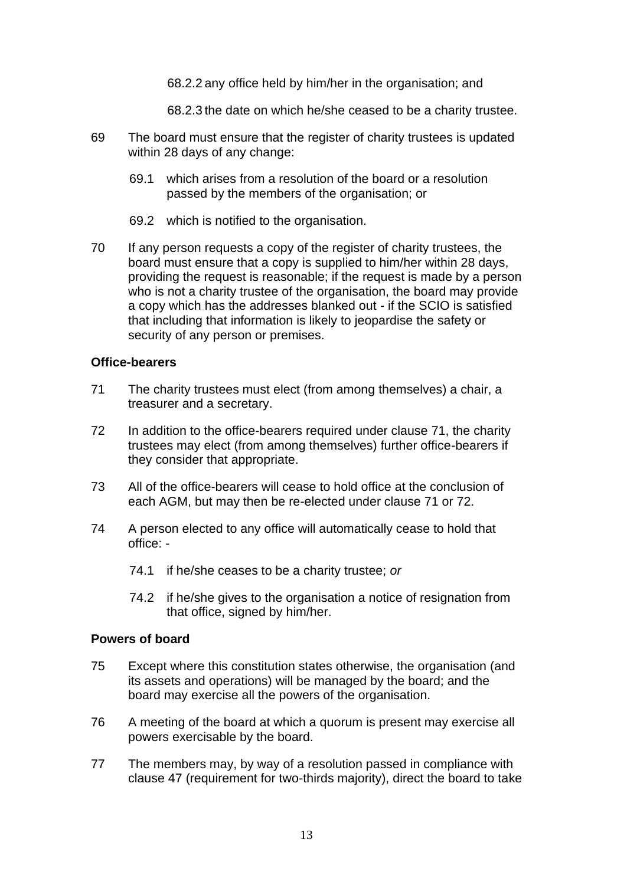68.2.2 any office held by him/her in the organisation; and

68.2.3 the date on which he/she ceased to be a charity trustee.

- 69 The board must ensure that the register of charity trustees is updated within 28 days of any change:
	- 69.1 which arises from a resolution of the board or a resolution passed by the members of the organisation; or
	- 69.2 which is notified to the organisation.
- 70 If any person requests a copy of the register of charity trustees, the board must ensure that a copy is supplied to him/her within 28 days, providing the request is reasonable; if the request is made by a person who is not a charity trustee of the organisation, the board may provide a copy which has the addresses blanked out - if the SCIO is satisfied that including that information is likely to jeopardise the safety or security of any person or premises.

#### **Office-bearers**

- 71 The charity trustees must elect (from among themselves) a chair, a treasurer and a secretary.
- 72 In addition to the office-bearers required under clause 71, the charity trustees may elect (from among themselves) further office-bearers if they consider that appropriate.
- 73 All of the office-bearers will cease to hold office at the conclusion of each AGM, but may then be re-elected under clause 71 or 72.
- 74 A person elected to any office will automatically cease to hold that office: -
	- 74.1 if he/she ceases to be a charity trustee; *or*
	- 74.2 if he/she gives to the organisation a notice of resignation from that office, signed by him/her.

#### **Powers of board**

- 75 Except where this constitution states otherwise, the organisation (and its assets and operations) will be managed by the board; and the board may exercise all the powers of the organisation.
- 76 A meeting of the board at which a quorum is present may exercise all powers exercisable by the board.
- 77 The members may, by way of a resolution passed in compliance with clause 47 (requirement for two-thirds majority), direct the board to take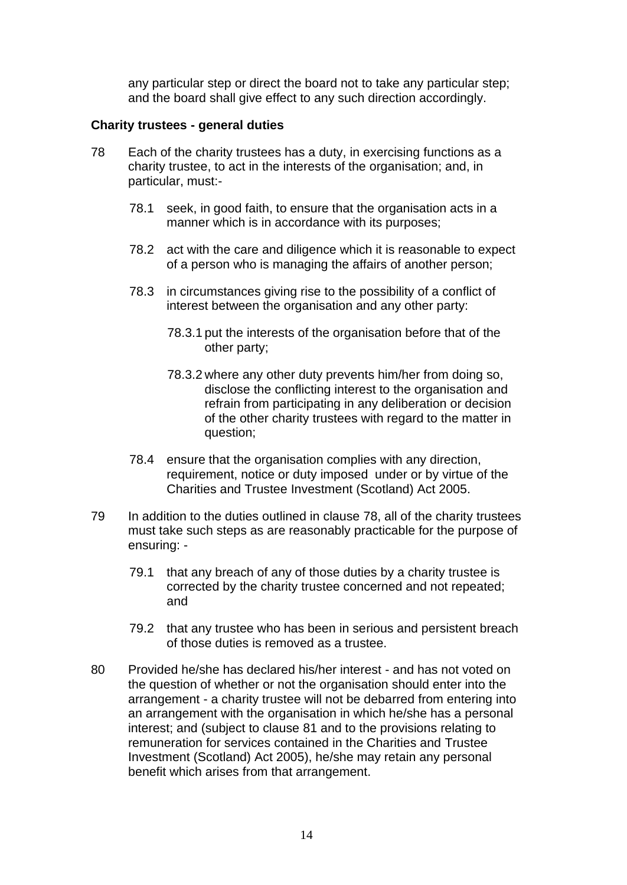any particular step or direct the board not to take any particular step; and the board shall give effect to any such direction accordingly.

#### **Charity trustees - general duties**

- 78 Each of the charity trustees has a duty, in exercising functions as a charity trustee, to act in the interests of the organisation; and, in particular, must:-
	- 78.1 seek, in good faith, to ensure that the organisation acts in a manner which is in accordance with its purposes;
	- 78.2 act with the care and diligence which it is reasonable to expect of a person who is managing the affairs of another person;
	- 78.3 in circumstances giving rise to the possibility of a conflict of interest between the organisation and any other party:
		- 78.3.1 put the interests of the organisation before that of the other party;
		- 78.3.2 where any other duty prevents him/her from doing so, disclose the conflicting interest to the organisation and refrain from participating in any deliberation or decision of the other charity trustees with regard to the matter in question;
	- 78.4 ensure that the organisation complies with any direction, requirement, notice or duty imposed under or by virtue of the Charities and Trustee Investment (Scotland) Act 2005.
- 79 In addition to the duties outlined in clause 78, all of the charity trustees must take such steps as are reasonably practicable for the purpose of ensuring: -
	- 79.1 that any breach of any of those duties by a charity trustee is corrected by the charity trustee concerned and not repeated; and
	- 79.2 that any trustee who has been in serious and persistent breach of those duties is removed as a trustee.
- 80 Provided he/she has declared his/her interest and has not voted on the question of whether or not the organisation should enter into the arrangement - a charity trustee will not be debarred from entering into an arrangement with the organisation in which he/she has a personal interest; and (subject to clause 81 and to the provisions relating to remuneration for services contained in the Charities and Trustee Investment (Scotland) Act 2005), he/she may retain any personal benefit which arises from that arrangement.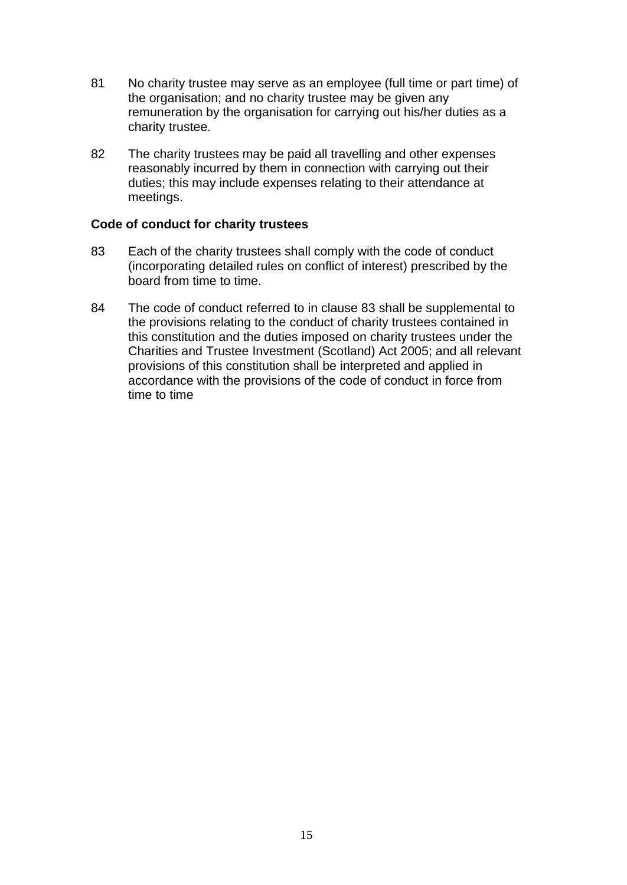- 81 No charity trustee may serve as an employee (full time or part time) of the organisation; and no charity trustee may be given any remuneration by the organisation for carrying out his/her duties as a charity trustee.
- 82 The charity trustees may be paid all travelling and other expenses reasonably incurred by them in connection with carrying out their duties; this may include expenses relating to their attendance at meetings.

#### **Code of conduct for charity trustees**

- 83 Each of the charity trustees shall comply with the code of conduct (incorporating detailed rules on conflict of interest) prescribed by the board from time to time.
- 84 The code of conduct referred to in clause 83 shall be supplemental to the provisions relating to the conduct of charity trustees contained in this constitution and the duties imposed on charity trustees under the Charities and Trustee Investment (Scotland) Act 2005; and all relevant provisions of this constitution shall be interpreted and applied in accordance with the provisions of the code of conduct in force from time to time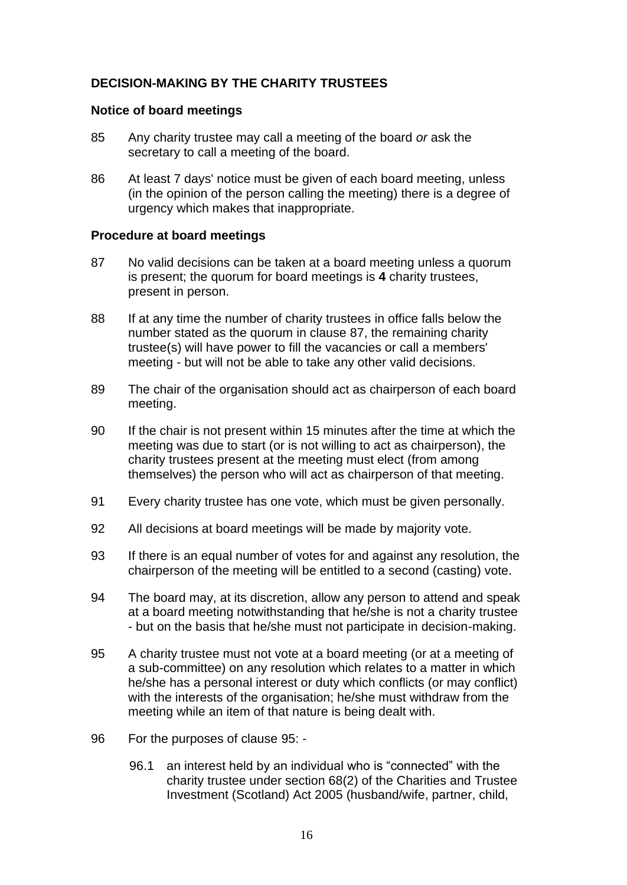# **DECISION-MAKING BY THE CHARITY TRUSTEES**

#### **Notice of board meetings**

- 85 Any charity trustee may call a meeting of the board *or* ask the secretary to call a meeting of the board.
- 86 At least 7 days' notice must be given of each board meeting, unless (in the opinion of the person calling the meeting) there is a degree of urgency which makes that inappropriate.

#### **Procedure at board meetings**

- 87 No valid decisions can be taken at a board meeting unless a quorum is present; the quorum for board meetings is **4** charity trustees, present in person.
- 88 If at any time the number of charity trustees in office falls below the number stated as the quorum in clause 87, the remaining charity trustee(s) will have power to fill the vacancies or call a members' meeting - but will not be able to take any other valid decisions.
- 89 The chair of the organisation should act as chairperson of each board meeting.
- 90 If the chair is not present within 15 minutes after the time at which the meeting was due to start (or is not willing to act as chairperson), the charity trustees present at the meeting must elect (from among themselves) the person who will act as chairperson of that meeting.
- 91 Every charity trustee has one vote, which must be given personally.
- 92 All decisions at board meetings will be made by majority vote.
- 93 If there is an equal number of votes for and against any resolution, the chairperson of the meeting will be entitled to a second (casting) vote.
- 94 The board may, at its discretion, allow any person to attend and speak at a board meeting notwithstanding that he/she is not a charity trustee - but on the basis that he/she must not participate in decision-making.
- 95 A charity trustee must not vote at a board meeting (or at a meeting of a sub-committee) on any resolution which relates to a matter in which he/she has a personal interest or duty which conflicts (or may conflict) with the interests of the organisation; he/she must withdraw from the meeting while an item of that nature is being dealt with.
- 96 For the purposes of clause 95:
	- 96.1 an interest held by an individual who is "connected" with the charity trustee under section 68(2) of the Charities and Trustee Investment (Scotland) Act 2005 (husband/wife, partner, child,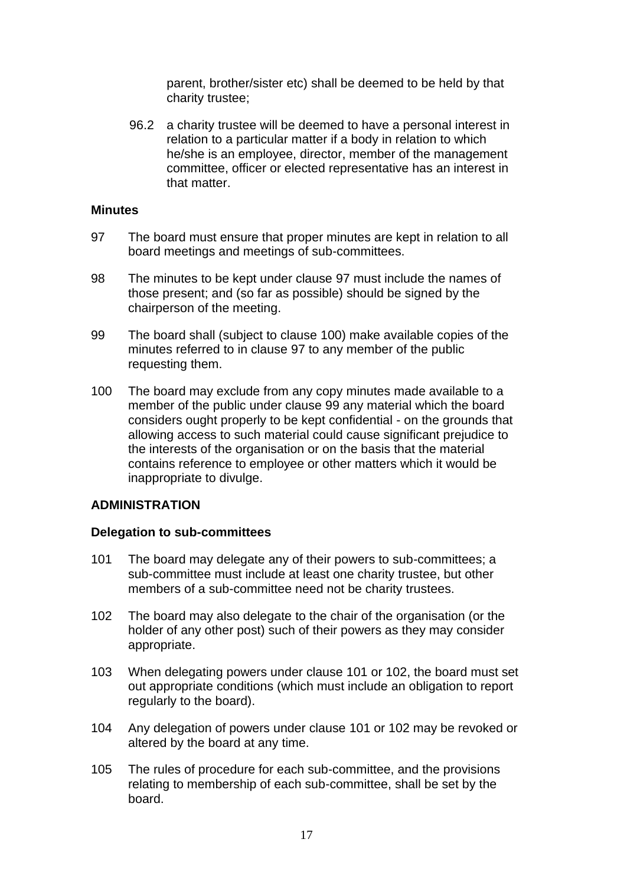parent, brother/sister etc) shall be deemed to be held by that charity trustee;

96.2 a charity trustee will be deemed to have a personal interest in relation to a particular matter if a body in relation to which he/she is an employee, director, member of the management committee, officer or elected representative has an interest in that matter.

#### **Minutes**

- 97 The board must ensure that proper minutes are kept in relation to all board meetings and meetings of sub-committees.
- 98 The minutes to be kept under clause 97 must include the names of those present; and (so far as possible) should be signed by the chairperson of the meeting.
- 99 The board shall (subject to clause 100) make available copies of the minutes referred to in clause 97 to any member of the public requesting them.
- 100 The board may exclude from any copy minutes made available to a member of the public under clause 99 any material which the board considers ought properly to be kept confidential - on the grounds that allowing access to such material could cause significant prejudice to the interests of the organisation or on the basis that the material contains reference to employee or other matters which it would be inappropriate to divulge.

#### **ADMINISTRATION**

#### **Delegation to sub-committees**

- 101 The board may delegate any of their powers to sub-committees; a sub-committee must include at least one charity trustee, but other members of a sub-committee need not be charity trustees.
- 102 The board may also delegate to the chair of the organisation (or the holder of any other post) such of their powers as they may consider appropriate.
- 103 When delegating powers under clause 101 or 102, the board must set out appropriate conditions (which must include an obligation to report regularly to the board).
- 104 Any delegation of powers under clause 101 or 102 may be revoked or altered by the board at any time.
- 105 The rules of procedure for each sub-committee, and the provisions relating to membership of each sub-committee, shall be set by the board.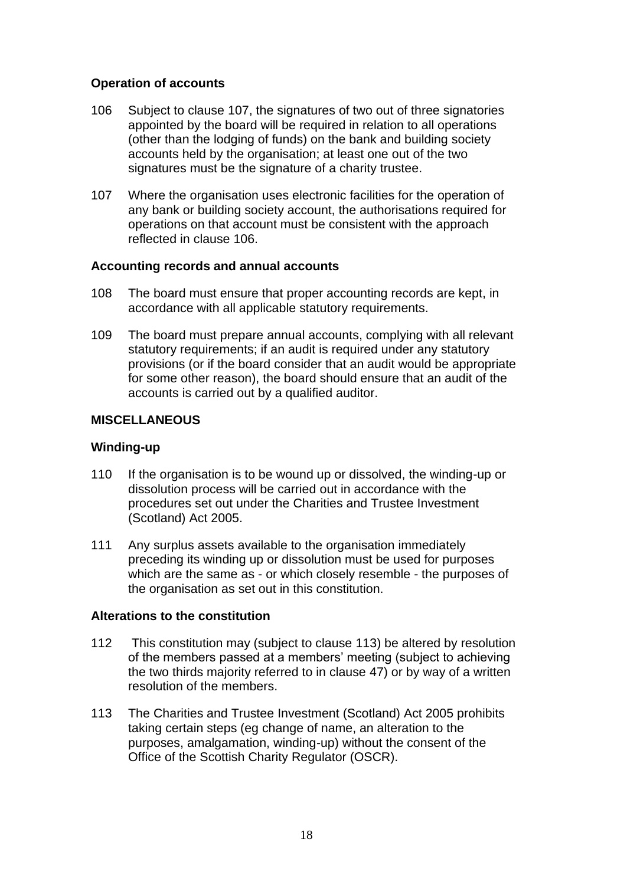## **Operation of accounts**

- 106 Subject to clause 107, the signatures of two out of three signatories appointed by the board will be required in relation to all operations (other than the lodging of funds) on the bank and building society accounts held by the organisation; at least one out of the two signatures must be the signature of a charity trustee.
- 107 Where the organisation uses electronic facilities for the operation of any bank or building society account, the authorisations required for operations on that account must be consistent with the approach reflected in clause 106.

#### **Accounting records and annual accounts**

- 108 The board must ensure that proper accounting records are kept, in accordance with all applicable statutory requirements.
- 109 The board must prepare annual accounts, complying with all relevant statutory requirements; if an audit is required under any statutory provisions (or if the board consider that an audit would be appropriate for some other reason), the board should ensure that an audit of the accounts is carried out by a qualified auditor.

### **MISCELLANEOUS**

#### **Winding-up**

- 110 If the organisation is to be wound up or dissolved, the winding-up or dissolution process will be carried out in accordance with the procedures set out under the Charities and Trustee Investment (Scotland) Act 2005.
- 111 Any surplus assets available to the organisation immediately preceding its winding up or dissolution must be used for purposes which are the same as - or which closely resemble - the purposes of the organisation as set out in this constitution.

#### **Alterations to the constitution**

- 112 This constitution may (subject to clause 113) be altered by resolution of the members passed at a members' meeting (subject to achieving the two thirds majority referred to in clause 47) or by way of a written resolution of the members.
- 113 The Charities and Trustee Investment (Scotland) Act 2005 prohibits taking certain steps (eg change of name, an alteration to the purposes, amalgamation, winding-up) without the consent of the Office of the Scottish Charity Regulator (OSCR).